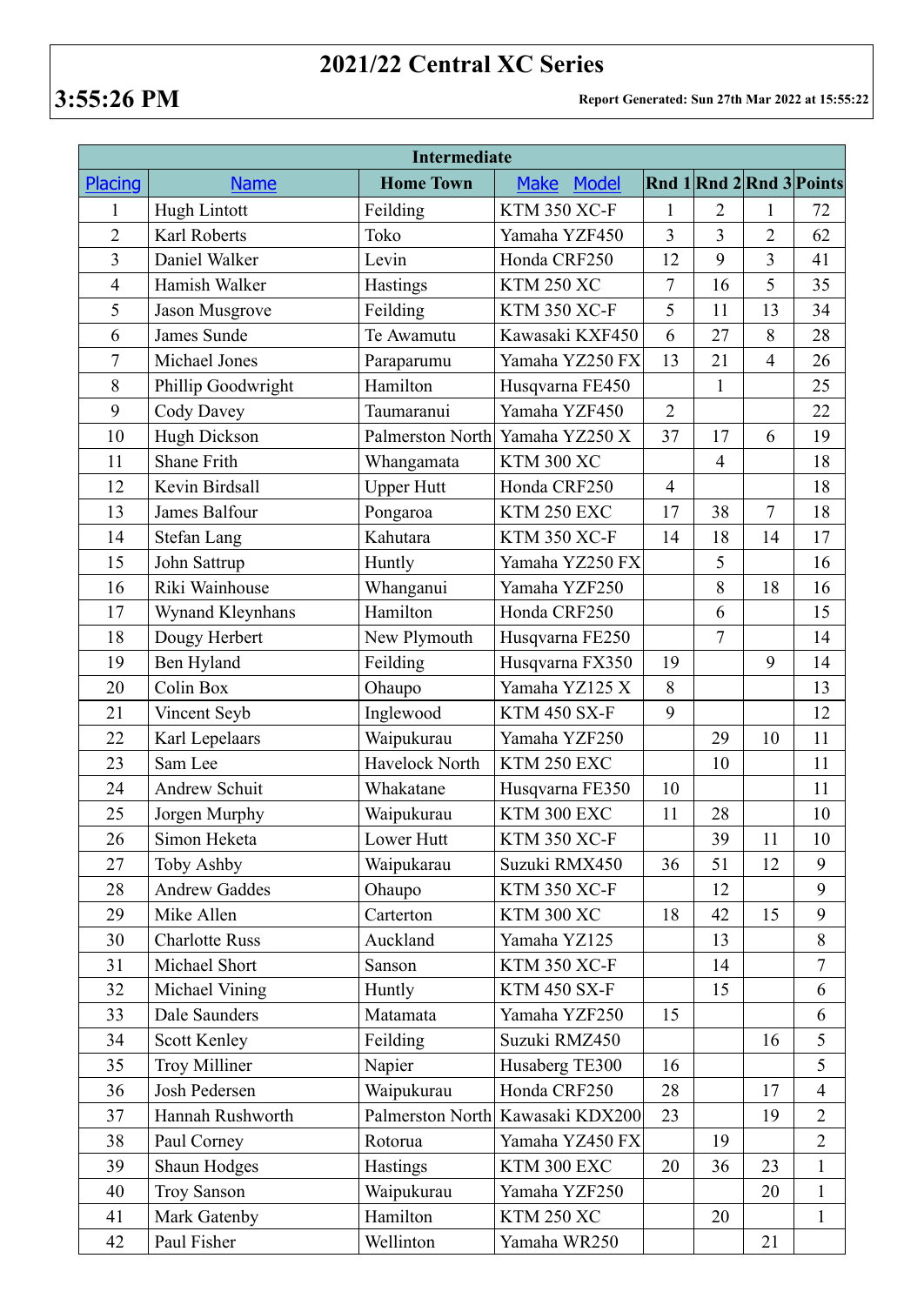## **2021/22 Central XC Series**

| <b>Intermediate</b> |                       |                   |                             |                |                |                |                          |  |  |  |  |
|---------------------|-----------------------|-------------------|-----------------------------|----------------|----------------|----------------|--------------------------|--|--|--|--|
| Placing             | <b>Name</b>           | <b>Home Town</b>  | <b>Make</b><br><b>Model</b> |                |                |                | Rnd 1 Rnd 2 Rnd 3 Points |  |  |  |  |
| 1                   | <b>Hugh Lintott</b>   | Feilding          | <b>KTM 350 XC-F</b>         | 1              | 2              | 1              | 72                       |  |  |  |  |
| $\overline{2}$      | Karl Roberts          | Toko              | Yamaha YZF450               | $\overline{3}$ | $\overline{3}$ | $\overline{2}$ | 62                       |  |  |  |  |
| $\overline{3}$      | Daniel Walker         | Levin             | Honda CRF250                | 12             | 9              | $\overline{3}$ | 41                       |  |  |  |  |
| $\overline{4}$      | Hamish Walker         | Hastings          | <b>KTM 250 XC</b>           | $\overline{7}$ | 16             | 5              | 35                       |  |  |  |  |
| 5                   | Jason Musgrove        | Feilding          | <b>KTM 350 XC-F</b>         | 5              | 11             | 13             | 34                       |  |  |  |  |
| 6                   | James Sunde           | Te Awamutu        | Kawasaki KXF450             | 6              | 27             | 8              | 28                       |  |  |  |  |
| $\overline{7}$      | Michael Jones         | Paraparumu        | Yamaha YZ250 FX             | 13             | 21             | $\overline{4}$ | 26                       |  |  |  |  |
| 8                   | Phillip Goodwright    | Hamilton          | Husqvarna FE450             |                | $\mathbf{1}$   |                | 25                       |  |  |  |  |
| 9                   | Cody Davey            | Taumaranui        | Yamaha YZF450               | $\overline{2}$ |                |                | 22                       |  |  |  |  |
| 10                  | <b>Hugh Dickson</b>   | Palmerston North  | Yamaha YZ250 X              | 37             | 17             | 6              | 19                       |  |  |  |  |
| 11                  | Shane Frith           | Whangamata        | <b>KTM 300 XC</b>           |                | $\overline{4}$ |                | 18                       |  |  |  |  |
| 12                  | Kevin Birdsall        | <b>Upper Hutt</b> | Honda CRF250                | $\overline{4}$ |                |                | 18                       |  |  |  |  |
| 13                  | James Balfour         | Pongaroa          | KTM 250 EXC                 | 17             | 38             | $\overline{7}$ | 18                       |  |  |  |  |
| 14                  | <b>Stefan Lang</b>    | Kahutara          | <b>KTM 350 XC-F</b>         | 14             | 18             | 14             | 17                       |  |  |  |  |
| 15                  | John Sattrup          | Huntly            | Yamaha YZ250 FX             |                | 5              |                | 16                       |  |  |  |  |
| 16                  | Riki Wainhouse        | Whanganui         | Yamaha YZF250               |                | 8              | 18             | 16                       |  |  |  |  |
| 17                  | Wynand Kleynhans      | Hamilton          | Honda CRF250                |                | 6              |                | 15                       |  |  |  |  |
| 18                  | Dougy Herbert         | New Plymouth      | Husqvarna FE250             |                | $\overline{7}$ |                | 14                       |  |  |  |  |
| 19                  | Ben Hyland            | Feilding          | Husqvarna FX350             | 19             |                | 9              | 14                       |  |  |  |  |
| 20                  | Colin Box             | Ohaupo            | Yamaha YZ125 X              | 8              |                |                | 13                       |  |  |  |  |
| 21                  | Vincent Seyb          | Inglewood         | <b>KTM 450 SX-F</b>         | 9              |                |                | 12                       |  |  |  |  |
| 22                  | Karl Lepelaars        | Waipukurau        | Yamaha YZF250               |                | 29             | 10             | 11                       |  |  |  |  |
| 23                  | Sam Lee               | Havelock North    | KTM 250 EXC                 |                | 10             |                | 11                       |  |  |  |  |
| 24                  | Andrew Schuit         | Whakatane         | Husqvarna FE350             | 10             |                |                | 11                       |  |  |  |  |
| 25                  | Jorgen Murphy         | Waipukurau        | KTM 300 EXC                 | 11             | 28             |                | 10                       |  |  |  |  |
| 26                  | Simon Heketa          | Lower Hutt        | <b>KTM 350 XC-F</b>         |                | 39             | 11             | 10                       |  |  |  |  |
| 27                  | Toby Ashby            | Waipukarau        | Suzuki RMX450               | 36             | 51             | 12             | 9                        |  |  |  |  |
| 28                  | <b>Andrew Gaddes</b>  | Ohaupo            | <b>KTM 350 XC-F</b>         |                | 12             |                | 9                        |  |  |  |  |
| 29                  | Mike Allen            | Carterton         | <b>KTM 300 XC</b>           | 18             | 42             | 15             | 9                        |  |  |  |  |
| 30                  | <b>Charlotte Russ</b> | Auckland          | Yamaha YZ125                |                | 13             |                | 8                        |  |  |  |  |
| 31                  | Michael Short         | Sanson            | <b>KTM 350 XC-F</b>         |                | 14             |                | $\overline{7}$           |  |  |  |  |
| 32                  | Michael Vining        | Huntly            | <b>KTM 450 SX-F</b>         |                | 15             |                | 6                        |  |  |  |  |
| 33                  | Dale Saunders         | Matamata          | Yamaha YZF250               | 15             |                |                | 6                        |  |  |  |  |
| 34                  | <b>Scott Kenley</b>   | Feilding          | Suzuki RMZ450               |                |                | 16             | 5                        |  |  |  |  |
| 35                  | <b>Troy Milliner</b>  | Napier            | Husaberg TE300              | 16             |                |                | 5                        |  |  |  |  |
| 36                  | Josh Pedersen         | Waipukurau        | Honda CRF250                | 28             |                | 17             | $\overline{4}$           |  |  |  |  |
| 37                  | Hannah Rushworth      | Palmerston North  | Kawasaki KDX200             | 23             |                | 19             | $\overline{2}$           |  |  |  |  |
| 38                  | Paul Corney           | Rotorua           | Yamaha YZ450 FX             |                | 19             |                | $\overline{2}$           |  |  |  |  |
| 39                  | Shaun Hodges          | <b>Hastings</b>   | KTM 300 EXC                 | 20             | 36             | 23             | $\mathbf{1}$             |  |  |  |  |
| 40                  | <b>Troy Sanson</b>    | Waipukurau        | Yamaha YZF250               |                |                | 20             | $\mathbf{1}$             |  |  |  |  |
| 41                  | Mark Gatenby          | Hamilton          | <b>KTM 250 XC</b>           |                | 20             |                | $\mathbf{1}$             |  |  |  |  |
| 42                  | Paul Fisher           | Wellinton         | Yamaha WR250                |                |                | 21             |                          |  |  |  |  |